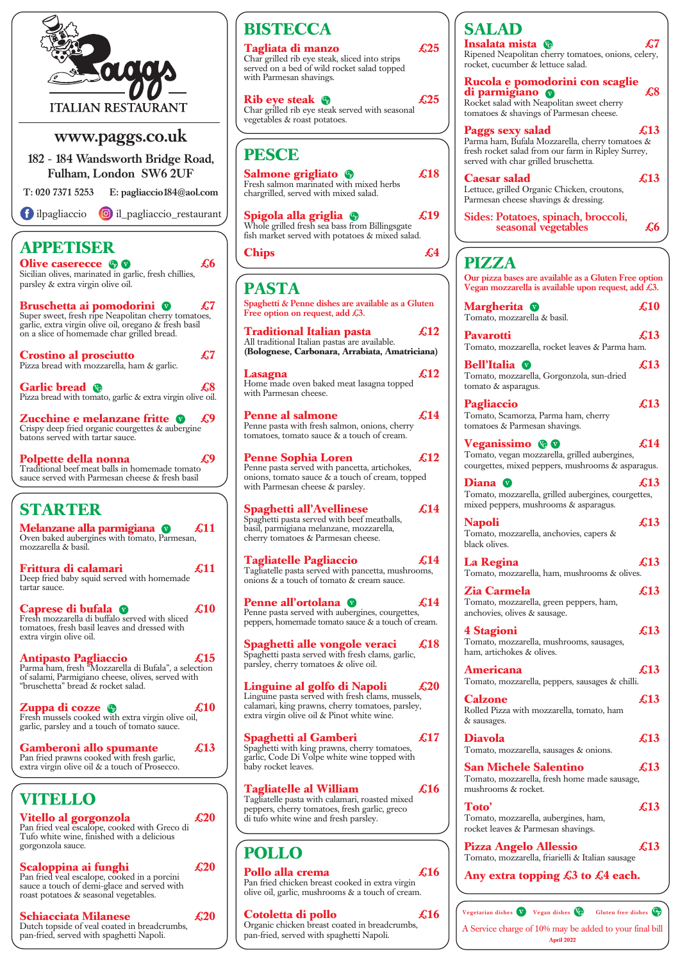Pan fried veal escalope, cooked in a porcini sauce a touch of demi-glace and served with roast potatoes & seasonal vegetables.

**Zuppa di cozze £10** Fresh mussels cooked with extra virgin olive oil,

garlic, parsley and a touch of tomato sauce.

**Gamberoni allo spumante £13** Pan fried prawns cooked with fresh garlic, extra virgin olive oil & a touch of Prosecco.

# **VITELLO**

**Vitello al gorgonzola £20** Pan fried veal escalope, cooked with Greco di Tufo white wine, finished with a delicious gorgonzola sauce.



# **Scaloppina ai funghi £20**

### **Schiacciata Milanese £20**

Dutch topside of veal coated in breadcrumbs, pan-fried, served with spaghetti Napoli.

## **Spaghetti al Gamberi**  $\qquad \qquad \textbf{\textsterling}17$

**SALAD Insalata mista £7** ened Neapolitan cherry tomatoes, onions, celery, ret, cucumber & lettuce salad. **Rucola e pomodorini con scaglie discrimigiano o contra di ES** ket salad with Neapolitan sweet cherry atoes  $\&$  shavings of Parmesan cheese. **Paggs sexy salad £13** na ham, Bufala Mozzarella, cherry tomatoes  $\&$ rocket salad from our farm in Ripley Surrey, ed with char grilled bruschetta. **Caesar salad £13** uce, grilled Organic Chicken, croutons, nesan cheese shavings & dressing. es: Potatoes, spinach, broccoli, seasonal vegetables **£6 PIZZA** pizza bases are available as a Gluten Free option an mozzarella is available upon request, add  $\pounds 3$ . **Margherita C** 610 ato, mozzarella & basil. **Pavarotti £13** ato, mozzarella, rocket leaves & Parma ham. **Bell'Italia £13** ato, mozzarella, Gorgonzola, sun-dried ato  $&$  asparagus. **Pagliaccio £13**  nato, Scamorza, Parma ham, cherry atoes & Parmesan shavings. **Veganissimo £14** ato, vegan mozzarella, grilled aubergines, gettes, mixed peppers, mushrooms & asparagus. **Diana £13** nato, mozzarella, grilled aubergines, courgettes, ed peppers, mushrooms & asparagus. **Napoli £13** ato, mozzarella, anchovies, capers  $\&$ k olives. **La Regina £13** ato, mozzarella, ham, mushrooms & olives. **Zia Carmela £13** ato, mozzarella, green peppers, ham,

**4 Assume 1 Assume 1 Assume 1 Assume 1 Assume 1 Assume 1 Assume 1 Assume 1 Assume 1 Assume 1 Assume 1 Assume 1 Assume 1 Assume 1 Assume 1 Assume 1 Assume 1 Assume 1 Assume 1 Assume 1 Assume 1 Assume 1 Assume 1 Assume 1 Ass** ato, mozzarella, mushrooms, sausages, artichokes & olives.

**Americana £13** ato, mozzarella, peppers, sausages & chilli.

|                                                         |  |                   | Vegetarian dishes $\sqrt{\text{V}}$ Vegan dishes $\sqrt{\text{G}}$ Gluten free dishes $\text{G}_{\text{F}}$ |
|---------------------------------------------------------|--|-------------------|-------------------------------------------------------------------------------------------------------------|
| A Service charge of 10% may be added to your final bill |  |                   |                                                                                                             |
|                                                         |  | <b>April 2022</b> |                                                                                                             |

extra virgin olive oil & Pinot white wine.

Spaghetti with king prawns, cherry tomatoes, garlic, Code Di Volpe white wine topped with baby rocket leaves.

| <b>BISTECCA</b>                                                                                                                                                              |                        | <b>SALAD</b>                                                                                                       |
|------------------------------------------------------------------------------------------------------------------------------------------------------------------------------|------------------------|--------------------------------------------------------------------------------------------------------------------|
| Tagliata di manzo<br>Char grilled rib eye steak, sliced into strips<br>served on a bed of wild rocket salad topped                                                           | $\pounds$ 25           | Insalata mista<br>Ripened Neapolitan cherry<br>rocket, cucumber & lettuce                                          |
| with Parmesan shavings.<br><b>Rib eye steak</b><br>Char grilled rib eye steak served with seasonal                                                                           | £25                    | <b>Rucola e pomodori</b><br>di parmigiano<br>Rocket salad with Neapolita<br>tomatoes & shavings of Pari            |
| vegetables & roast potatoes.<br><b>PESCE</b>                                                                                                                                 |                        | Paggs sexy salad<br>Parma ham, Bufala Mozzare<br>fresh rocket salad from our i                                     |
| <b>Salmone grigliato</b><br>Fresh salmon marinated with mixed herbs<br>chargrilled, served with mixed salad.                                                                 | $\pmb{18}$             | served with char grilled brus<br><b>Caesar salad</b><br>Lettuce, grilled Organic Chi<br>Parmesan cheese shavings & |
| Spigola alla griglia <b>G</b><br>Whole grilled fresh sea bass from Billingsgate<br>fish market served with potatoes & mixed salad.                                           | $\mathcal{L}19$        | <b>Sides: Potatoes, spina</b><br>seasonal vegeta                                                                   |
| <b>Chips</b>                                                                                                                                                                 | £4                     | <b>PIZZA</b>                                                                                                       |
| <b>PASTA</b>                                                                                                                                                                 |                        | Our pizza bases are availabl<br>Vegan mozzarella is availab                                                        |
| Spaghetti & Penne dishes are available as a Gluten<br>Free option on request, add $\pounds 3$ .                                                                              |                        | Margherita <sup>T</sup><br>Tomato, mozzarella & basil.                                                             |
| <b>Traditional Italian pasta</b><br>All traditional Italian pastas are available.<br>(Bolognese, Carbonara, Arrabiata, Amatriciana)                                          | $\pmb{\mathcal{L}}$ 12 | <b>Pavarotti</b><br>Tomato, mozzarella, rocket                                                                     |
| Lasagna<br>Home made oven baked meat lasagna topped<br>with Parmesan cheese.                                                                                                 | £12                    | <b>Bell'Italia</b><br>Tomato, mozzarella, Gorgo<br>tomato & asparagus.                                             |
| <b>Penne al salmone</b><br>Penne pasta with fresh salmon, onions, cherry                                                                                                     | $\pmb{\mathcal{K}}$ 14 | Pagliaccio<br>Tomato, Scamorza, Parma l<br>tomatoes & Parmesan shavi                                               |
| tomatoes, tomato sauce $\&$ a touch of cream.<br><b>Penne Sophia Loren</b><br>Penne pasta served with pancetta, artichokes,                                                  | $\pmb{\mathcal{L}}$ 12 | <b>Veganissimo</b> & <b>v</b><br>Tomato, vegan mozzarella,<br>courgettes, mixed peppers, r                         |
| onions, to ato sauce $\&$ a touch of cream, topped<br>with Parmesan cheese $\&$ parsley.                                                                                     |                        | Diana V<br>Tomato, mozzarella, grilled                                                                             |
| <b>Spaghetti all'Avellinese</b><br>Spaghetti pasta served with beef meatballs,<br>basil, parmigiana melanzane, mozzarella,<br>cherry tomatoes & Parmesan cheese.             | $\pmb{\mathcal{K}}$ 14 | mixed peppers, mushrooms<br><b>Napoli</b><br>Tomato, mozzarella, anchov<br>black olives.                           |
| <b>Tagliatelle Pagliaccio</b><br>Tagliatelle pasta served with pancetta, mushrooms,<br>onions & a touch of tomato & cream sauce.                                             | $\boldsymbol{14}$      | La Regina<br>Tomato, mozzarella, ham, n                                                                            |
| <b>Penne all'ortolana</b><br>V<br>Penne pasta served with aubergines, courgettes,                                                                                            | £14                    | <b>Zia Carmela</b><br>Tomato, mozzarella, green p<br>anchovies, olives & sausage.                                  |
| peppers, homemade tomato sauce & a touch of cream.<br>Spaghetti alle vongole veraci<br>Spaghetti pasta served with fresh clams, garlic,                                      | £18                    | 4 Stagioni<br>Tomato, mozzarella, mushro<br>ham, artichokes & olives.                                              |
| parsley, cherry tomatoes & olive oil.<br>Linguine al golfo di Napoli<br>Linguine pasta served with fresh clams, mussels,<br>calamari, king prawns, cherry tomatoes, parsley, | $\pmb{\pounds}20$      | <b>Americana</b><br>Tomato, mozzarella, pepper<br><b>Calzone</b>                                                   |
|                                                                                                                                                                              |                        | $\lambda$ Diggs with                                                                                               |

## **Tagliatelle al William £16**

Tagliatelle pasta with calamari, roasted mixed peppers, cherry tomatoes, fresh garlic, greco di tufo white wine and fresh parsley.

# **POLLO**

### **Pollo alla crema £16**

Pan fried chicken breast cooked in extra virgin olive oil, garlic, mushrooms & a touch of cream.

# **Cotoletta di pollo**  $\epsilon$ 16

Organic chicken breast coated in breadcrumbs, pan-fried, served with spaghetti Napoli.

**Calzone £13** Rolled Pizza with mozzarella, tomato, ham & sausages.

### **Diavola £13**

Tomato, mozzarella, sausages & onions.

### **San Michele Salentino £13**

Tomato, mozzarella, fresh home made sausage, mushrooms & rocket.

**Toto' £13**

Tomato, mozzarella, aubergines, ham, rocket leaves & Parmesan shavings.

**Pizza Angelo Allessio £13** Tomato, mozzarella, friarielli & Italian sausage

**Any extra topping £3 to £4 each.**